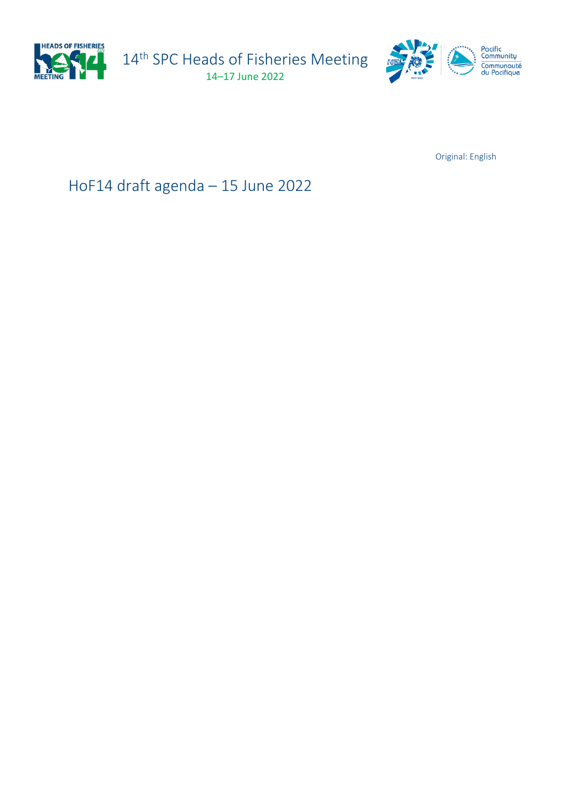

14<sup>th</sup> SPC Heads of Fisheries Meeting 14–17 June 2022



Original: English

HoF14 draft agenda – 15 June 2022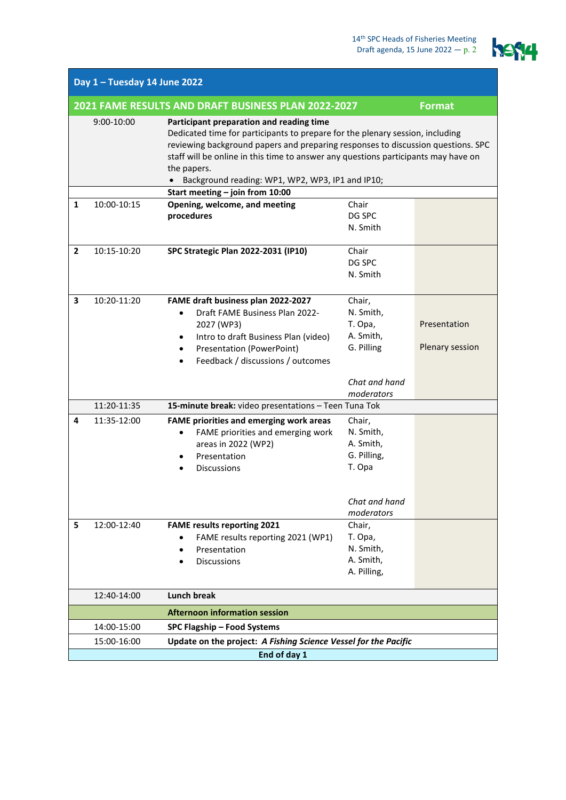

| Day 1 - Tuesday 14 June 2022                                         |                                                                                                                                                                                                                                                                                                                                                                                                     |                                                                                                                                                                                              |                                                            |                                 |  |
|----------------------------------------------------------------------|-----------------------------------------------------------------------------------------------------------------------------------------------------------------------------------------------------------------------------------------------------------------------------------------------------------------------------------------------------------------------------------------------------|----------------------------------------------------------------------------------------------------------------------------------------------------------------------------------------------|------------------------------------------------------------|---------------------------------|--|
| 2021 FAME RESULTS AND DRAFT BUSINESS PLAN 2022-2027<br><b>Format</b> |                                                                                                                                                                                                                                                                                                                                                                                                     |                                                                                                                                                                                              |                                                            |                                 |  |
|                                                                      | $9:00-10:00$<br>Participant preparation and reading time<br>Dedicated time for participants to prepare for the plenary session, including<br>reviewing background papers and preparing responses to discussion questions. SPC<br>staff will be online in this time to answer any questions participants may have on<br>the papers.<br>Background reading: WP1, WP2, WP3, IP1 and IP10;<br>$\bullet$ |                                                                                                                                                                                              |                                                            |                                 |  |
|                                                                      |                                                                                                                                                                                                                                                                                                                                                                                                     | Start meeting - join from 10:00                                                                                                                                                              |                                                            |                                 |  |
| 1                                                                    | 10:00-10:15                                                                                                                                                                                                                                                                                                                                                                                         | Opening, welcome, and meeting<br>procedures                                                                                                                                                  | Chair<br>DG SPC<br>N. Smith                                |                                 |  |
| $\mathbf{2}$                                                         | 10:15-10:20                                                                                                                                                                                                                                                                                                                                                                                         | <b>SPC Strategic Plan 2022-2031 (IP10)</b>                                                                                                                                                   | Chair<br>DG SPC<br>N. Smith                                |                                 |  |
| 3                                                                    | 10:20-11:20                                                                                                                                                                                                                                                                                                                                                                                         | FAME draft business plan 2022-2027<br>Draft FAME Business Plan 2022-<br>2027 (WP3)<br>Intro to draft Business Plan (video)<br>Presentation (PowerPoint)<br>Feedback / discussions / outcomes | Chair,<br>N. Smith,<br>T. Opa,<br>A. Smith,<br>G. Pilling  | Presentation<br>Plenary session |  |
|                                                                      |                                                                                                                                                                                                                                                                                                                                                                                                     |                                                                                                                                                                                              | Chat and hand<br>moderators                                |                                 |  |
|                                                                      | 11:20-11:35                                                                                                                                                                                                                                                                                                                                                                                         | 15-minute break: video presentations - Teen Tuna Tok                                                                                                                                         |                                                            |                                 |  |
| 4                                                                    | 11:35-12:00                                                                                                                                                                                                                                                                                                                                                                                         | <b>FAME priorities and emerging work areas</b><br>FAME priorities and emerging work<br>$\bullet$<br>areas in 2022 (WP2)<br>Presentation<br><b>Discussions</b>                                | Chair,<br>N. Smith,<br>A. Smith,<br>G. Pilling,<br>T. Opa  |                                 |  |
|                                                                      |                                                                                                                                                                                                                                                                                                                                                                                                     |                                                                                                                                                                                              | Chat and hand<br>moderators                                |                                 |  |
| 5                                                                    | 12:00-12:40                                                                                                                                                                                                                                                                                                                                                                                         | <b>FAME results reporting 2021</b><br>FAME results reporting 2021 (WP1)<br>Presentation<br><b>Discussions</b>                                                                                | Chair,<br>T. Opa,<br>N. Smith,<br>A. Smith,<br>A. Pilling, |                                 |  |
|                                                                      | 12:40-14:00                                                                                                                                                                                                                                                                                                                                                                                         | <b>Lunch break</b>                                                                                                                                                                           |                                                            |                                 |  |
|                                                                      |                                                                                                                                                                                                                                                                                                                                                                                                     | <b>Afternoon information session</b>                                                                                                                                                         |                                                            |                                 |  |
|                                                                      | 14:00-15:00<br>SPC Flagship - Food Systems                                                                                                                                                                                                                                                                                                                                                          |                                                                                                                                                                                              |                                                            |                                 |  |
|                                                                      | Update on the project: A Fishing Science Vessel for the Pacific<br>15:00-16:00                                                                                                                                                                                                                                                                                                                      |                                                                                                                                                                                              |                                                            |                                 |  |
| End of day 1                                                         |                                                                                                                                                                                                                                                                                                                                                                                                     |                                                                                                                                                                                              |                                                            |                                 |  |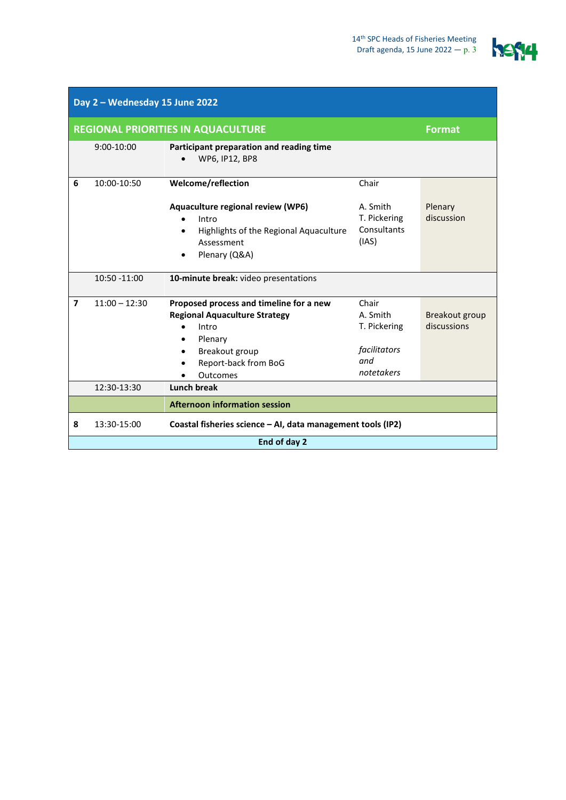

| Day 2 - Wednesday 15 June 2022 |                                                            |                                                                                                                                                                                     |                                                                        |                               |  |
|--------------------------------|------------------------------------------------------------|-------------------------------------------------------------------------------------------------------------------------------------------------------------------------------------|------------------------------------------------------------------------|-------------------------------|--|
|                                | <b>REGIONAL PRIORITIES IN AQUACULTURE</b><br><b>Format</b> |                                                                                                                                                                                     |                                                                        |                               |  |
|                                | $9:00 - 10:00$                                             | Participant preparation and reading time<br>WP6, IP12, BP8                                                                                                                          |                                                                        |                               |  |
| 6                              | 10:00-10:50                                                | Welcome/reflection                                                                                                                                                                  | Chair                                                                  |                               |  |
|                                |                                                            | Aquaculture regional review (WP6)<br>Intro<br>Highlights of the Regional Aquaculture<br>$\bullet$<br>Assessment<br>Plenary (Q&A)<br>$\bullet$                                       | A. Smith<br>T. Pickering<br>Consultants<br>(IAS)                       | Plenary<br>discussion         |  |
|                                | 10:50 -11:00                                               | 10-minute break: video presentations                                                                                                                                                |                                                                        |                               |  |
| $\overline{ }$                 | $11:00 - 12:30$                                            | Proposed process and timeline for a new<br><b>Regional Aquaculture Strategy</b><br>Intro<br>$\bullet$<br>Plenary<br>$\bullet$<br>Breakout group<br>Report-back from BoG<br>Outcomes | Chair<br>A. Smith<br>T. Pickering<br>facilitators<br>and<br>notetakers | Breakout group<br>discussions |  |
|                                | 12:30-13:30                                                | <b>Lunch break</b>                                                                                                                                                                  |                                                                        |                               |  |
|                                |                                                            | <b>Afternoon information session</b>                                                                                                                                                |                                                                        |                               |  |
| 8                              | 13:30-15:00                                                | Coastal fisheries science - AI, data management tools (IP2)                                                                                                                         |                                                                        |                               |  |
|                                | End of day 2                                               |                                                                                                                                                                                     |                                                                        |                               |  |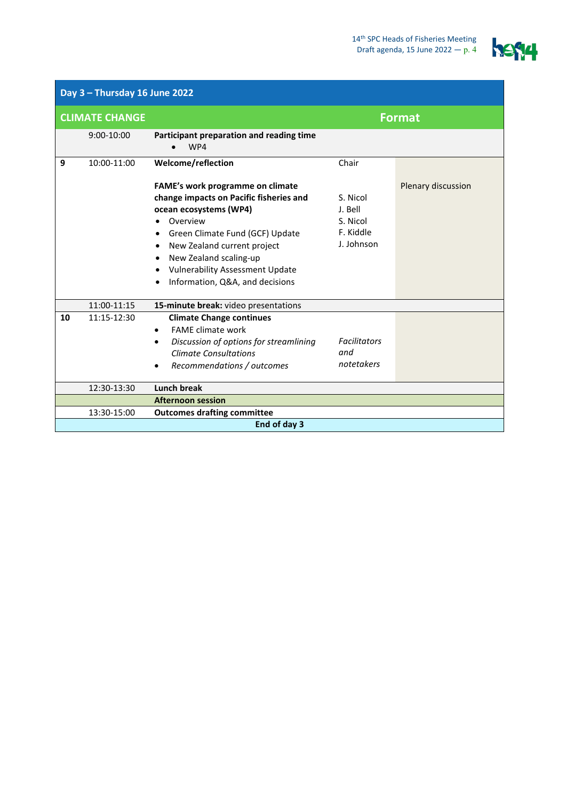

| Day 3 - Thursday 16 June 2022 |                |                                                                                                                                                                                                                                                                                                        |                                                            |                    |  |
|-------------------------------|----------------|--------------------------------------------------------------------------------------------------------------------------------------------------------------------------------------------------------------------------------------------------------------------------------------------------------|------------------------------------------------------------|--------------------|--|
| <b>CLIMATE CHANGE</b>         |                |                                                                                                                                                                                                                                                                                                        | <b>Format</b>                                              |                    |  |
|                               | $9:00 - 10:00$ | Participant preparation and reading time<br>WP4                                                                                                                                                                                                                                                        |                                                            |                    |  |
| 9                             | 10:00-11:00    | Welcome/reflection                                                                                                                                                                                                                                                                                     | Chair                                                      |                    |  |
|                               |                | <b>FAME's work programme on climate</b><br>change impacts on Pacific fisheries and<br>ocean ecosystems (WP4)<br>Overview<br>Green Climate Fund (GCF) Update<br>٠<br>New Zealand current project<br>New Zealand scaling-up<br><b>Vulnerability Assessment Update</b><br>Information, Q&A, and decisions | S. Nicol<br>J. Bell<br>S. Nicol<br>F. Kiddle<br>J. Johnson | Plenary discussion |  |
|                               | 11:00-11:15    | 15-minute break: video presentations                                                                                                                                                                                                                                                                   |                                                            |                    |  |
| 10                            | 11:15-12:30    | <b>Climate Change continues</b><br><b>FAME climate work</b><br>$\bullet$<br>Discussion of options for streamlining<br>$\bullet$<br><b>Climate Consultations</b><br>Recommendations / outcomes                                                                                                          | <b>Facilitators</b><br>and<br>notetakers                   |                    |  |
|                               | 12:30-13:30    | <b>Lunch break</b>                                                                                                                                                                                                                                                                                     |                                                            |                    |  |
|                               |                | <b>Afternoon session</b>                                                                                                                                                                                                                                                                               |                                                            |                    |  |
|                               | 13:30-15:00    | <b>Outcomes drafting committee</b>                                                                                                                                                                                                                                                                     |                                                            |                    |  |
|                               | End of day 3   |                                                                                                                                                                                                                                                                                                        |                                                            |                    |  |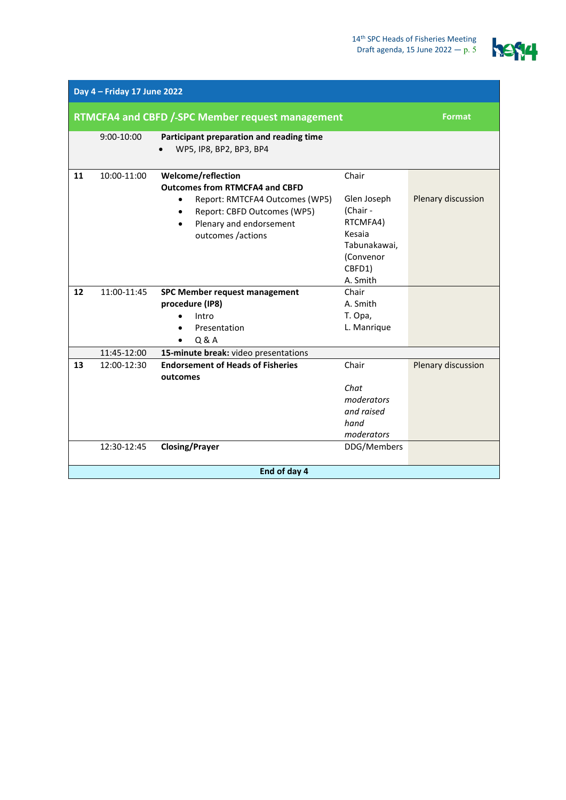

| Day 4 - Friday 17 June 2022                      |                |                                                                                                                                                                                                                     |                                                                                                           |                    |
|--------------------------------------------------|----------------|---------------------------------------------------------------------------------------------------------------------------------------------------------------------------------------------------------------------|-----------------------------------------------------------------------------------------------------------|--------------------|
| RTMCFA4 and CBFD /-SPC Member request management |                |                                                                                                                                                                                                                     | <b>Format</b>                                                                                             |                    |
|                                                  | $9:00 - 10:00$ | Participant preparation and reading time<br>WP5, IP8, BP2, BP3, BP4                                                                                                                                                 |                                                                                                           |                    |
| 11                                               | 10:00-11:00    | Welcome/reflection<br><b>Outcomes from RTMCFA4 and CBFD</b><br>Report: RMTCFA4 Outcomes (WP5)<br>$\bullet$<br>Report: CBFD Outcomes (WP5)<br>$\bullet$<br>Plenary and endorsement<br>$\bullet$<br>outcomes /actions | Chair<br>Glen Joseph<br>(Chair -<br>RTCMFA4)<br>Kesaia<br>Tabunakawai,<br>(Convenor<br>CBFD1)<br>A. Smith | Plenary discussion |
| 12                                               | 11:00-11:45    | SPC Member request management<br>procedure (IP8)<br>Intro<br>Presentation<br>$\bullet$<br>Q & A                                                                                                                     | Chair<br>A. Smith<br>T. Opa,<br>L. Manrique                                                               |                    |
|                                                  | 11:45-12:00    | 15-minute break: video presentations                                                                                                                                                                                |                                                                                                           |                    |
| 13                                               | 12:00-12:30    | <b>Endorsement of Heads of Fisheries</b><br>outcomes                                                                                                                                                                | Chair<br>Chat<br>moderators<br>and raised<br>hand<br>moderators                                           | Plenary discussion |
|                                                  | 12:30-12:45    | <b>Closing/Prayer</b>                                                                                                                                                                                               | DDG/Members                                                                                               |                    |
|                                                  | End of day 4   |                                                                                                                                                                                                                     |                                                                                                           |                    |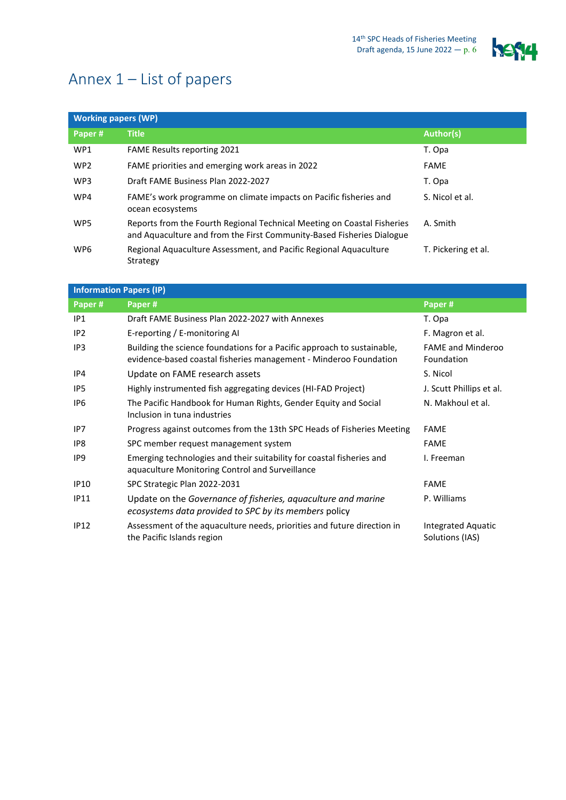

## Annex 1 – List of papers

| <b>Working papers (WP)</b> |                                                                                                                                                  |                     |  |
|----------------------------|--------------------------------------------------------------------------------------------------------------------------------------------------|---------------------|--|
| Paper#                     | <b>Title</b>                                                                                                                                     | Author(s)           |  |
| WP1                        | FAME Results reporting 2021                                                                                                                      | T. Opa              |  |
| WP <sub>2</sub>            | FAME priorities and emerging work areas in 2022                                                                                                  | <b>FAME</b>         |  |
| WP3                        | Draft FAME Business Plan 2022-2027                                                                                                               | T. Opa              |  |
| WP4                        | FAME's work programme on climate impacts on Pacific fisheries and<br>ocean ecosystems                                                            | S. Nicol et al.     |  |
| WP5                        | Reports from the Fourth Regional Technical Meeting on Coastal Fisheries<br>and Aquaculture and from the First Community-Based Fisheries Dialogue | A. Smith            |  |
| WP6                        | Regional Aquaculture Assessment, and Pacific Regional Aquaculture<br>Strategy                                                                    | T. Pickering et al. |  |

## **Information Papers (IP)**

| Paper#          | Paper#                                                                                                                                       | Paper#                                 |
|-----------------|----------------------------------------------------------------------------------------------------------------------------------------------|----------------------------------------|
| IP <sub>1</sub> | Draft FAME Business Plan 2022-2027 with Annexes                                                                                              | T. Opa                                 |
| IP <sub>2</sub> | E-reporting / E-monitoring Al                                                                                                                | F. Magron et al.                       |
| IP3             | Building the science foundations for a Pacific approach to sustainable,<br>evidence-based coastal fisheries management - Minderoo Foundation | <b>FAME and Minderoo</b><br>Foundation |
| IP4             | Update on FAME research assets                                                                                                               | S. Nicol                               |
| IP <sub>5</sub> | Highly instrumented fish aggregating devices (HI-FAD Project)                                                                                | J. Scutt Phillips et al.               |
| IP <sub>6</sub> | The Pacific Handbook for Human Rights, Gender Equity and Social<br>Inclusion in tuna industries                                              | N. Makhoul et al.                      |
| IP7             | Progress against outcomes from the 13th SPC Heads of Fisheries Meeting                                                                       | <b>FAME</b>                            |
| IP8             | SPC member request management system                                                                                                         | <b>FAME</b>                            |
| IP <sub>9</sub> | Emerging technologies and their suitability for coastal fisheries and<br>aquaculture Monitoring Control and Surveillance                     | I. Freeman                             |
| <b>IP10</b>     | SPC Strategic Plan 2022-2031                                                                                                                 | <b>FAME</b>                            |
| <b>IP11</b>     | Update on the Governance of fisheries, aquaculture and marine<br>ecosystems data provided to SPC by its members policy                       | P. Williams                            |
| <b>IP12</b>     | Assessment of the aquaculture needs, priorities and future direction in<br>the Pacific Islands region                                        | Integrated Aquatic<br>Solutions (IAS)  |